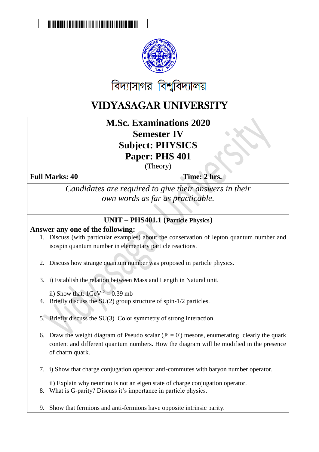

## VIDYASAGAR UNIVERSITY

**M.Sc. Examinations 2020 Semester IV Subject: PHYSICS Paper: PHS 401**

(Theory)

Full Marks: 40 Time: 2 hrs.

*Candidates are required to give their answers in their own words as far as practicable.*

## **UNIT – PHS401.1** (**Particle Physics**)

## **Answer any one of the following:**

- 1. Discuss (with particular examples) about the conservation of lepton quantum number and isospin quantum number in elementary particle reactions.
- 2. Discuss how strange quantum number was proposed in particle physics.
- 3. i) Establish the relation between Mass and Length in Natural unit.

ii) Show that:  $1 \text{GeV}^{-2} = 0.39 \text{ mb}$ 

4. Briefly discuss the SU(2) group structure of spin-1/2 particles.

5. Briefly discuss the SU(3) Color symmetry of strong interaction.

- 6. Draw the weight diagram of Pseudo scalar  $(J^p = 0)$  mesons, enumerating clearly the quark content and different quantum numbers. How the diagram will be modified in the presence of charm quark.
- 7. i) Show that charge conjugation operator anti-commutes with baryon number operator.

ii) Explain why neutrino is not an eigen state of charge conjugation operator.

- 8. What is G-parity? Discuss it's importance in particle physics.
- 9. Show that fermions and anti-fermions have opposite intrinsic parity.